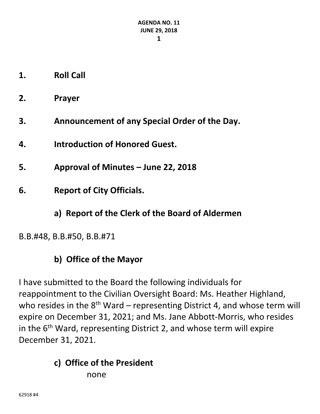- **1. Roll Call**
- **2. Prayer**
- **3. Announcement of any Special Order of the Day.**
- **4. Introduction of Honored Guest.**
- **5. Approval of Minutes – June 22, 2018**
- **6. Report of City Officials.**
	- **a) Report of the Clerk of the Board of Aldermen**
- B.B.#48, B.B.#50, B.B.#71

## **b) Office of the Mayor**

I have submitted to the Board the following individuals for reappointment to the Civilian Oversight Board: Ms. Heather Highland, who resides in the  $8<sup>th</sup>$  Ward – representing District 4, and whose term will expire on December 31, 2021; and Ms. Jane Abbott‐Morris, who resides in the  $6<sup>th</sup>$  Ward, representing District 2, and whose term will expire December 31, 2021.

#### **c) Office of the President** none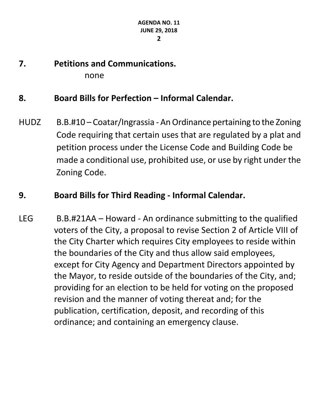**7. Petitions and Communications.** none

#### **8. Board Bills for Perfection – Informal Calendar.**

HUDZ B.B.#10 – Coatar/Ingrassia - An Ordinance pertaining to the Zoning Code requiring that certain uses that are regulated by a plat and petition process under the License Code and Building Code be made a conditional use, prohibited use, or use by right under the Zoning Code.

#### **9. Board Bills for Third Reading ‐ Informal Calendar.**

LEG B.B.#21AA – Howard ‐ An ordinance submitting to the qualified voters of the City, a proposal to revise Section 2 of Article VIII of the City Charter which requires City employees to reside within the boundaries of the City and thus allow said employees, except for City Agency and Department Directors appointed by the Mayor, to reside outside of the boundaries of the City, and; providing for an election to be held for voting on the proposed revision and the manner of voting thereat and; for the publication, certification, deposit, and recording of this ordinance; and containing an emergency clause.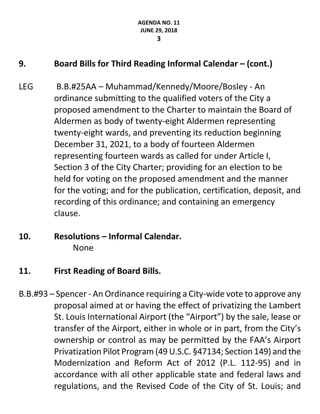## **9. Board Bills for Third Reading Informal Calendar – (cont.)**

- LEG B.B.#25AA Muhammad/Kennedy/Moore/Bosley ‐ An ordinance submitting to the qualified voters of the City a proposed amendment to the Charter to maintain the Board of Aldermen as body of twenty‐eight Aldermen representing twenty‐eight wards, and preventing its reduction beginning December 31, 2021, to a body of fourteen Aldermen representing fourteen wards as called for under Article I, Section 3 of the City Charter; providing for an election to be held for voting on the proposed amendment and the manner for the voting; and for the publication, certification, deposit, and recording of this ordinance; and containing an emergency clause.
- **10. Resolutions – Informal Calendar.** None
- **11. First Reading of Board Bills.**
- B.B.#93 Spencer ‐ An Ordinance requiring a City‐wide vote to approve any proposal aimed at or having the effect of privatizing the Lambert St. Louis International Airport (the "Airport") by the sale, lease or transfer of the Airport, either in whole or in part, from the City's ownership or control as may be permitted by the FAA's Airport Privatization Pilot Program(49U.S.C. §47134; Section 149) and the Modernization and Reform Act of 2012 (P.L. 112‐95) and in accordance with all other applicable state and federal laws and regulations, and the Revised Code of the City of St. Louis; and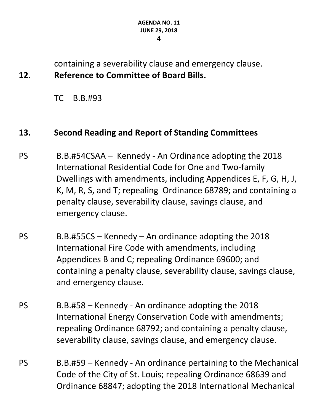containing a severability clause and emergency clause. **12. Reference to Committee of Board Bills.**

TC B.B.#93

## **13. Second Reading and Report of Standing Committees**

- PS B.B.#54CSAA Kennedy ‐ An Ordinance adopting the 2018 International Residential Code for One and Two‐family Dwellings with amendments, including Appendices E, F, G, H, J, K, M, R, S, and T; repealing Ordinance 68789; and containing a penalty clause, severability clause, savings clause, and emergency clause.
- $PS$  B.B.#55CS Kennedy An ordinance adopting the 2018 International Fire Code with amendments, including Appendices B and C; repealing Ordinance 69600; and containing a penalty clause, severability clause, savings clause, and emergency clause.
- PS B.B.#58 Kennedy ‐ An ordinance adopting the 2018 International Energy Conservation Code with amendments; repealing Ordinance 68792; and containing a penalty clause, severability clause, savings clause, and emergency clause.
- PS B.B.#59 Kennedy ‐ An ordinance pertaining to the Mechanical Code of the City of St. Louis; repealing Ordinance 68639 and Ordinance 68847; adopting the 2018 International Mechanical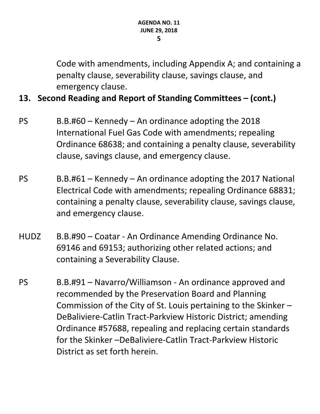Code with amendments, including Appendix A; and containing a penalty clause, severability clause, savings clause, and emergency clause.

## **13. Second Reading and Report of Standing Committees – (cont.)**

- $PS$  B.B.#60 Kennedy An ordinance adopting the 2018 International Fuel Gas Code with amendments; repealing Ordinance 68638; and containing a penalty clause, severability clause, savings clause, and emergency clause.
- $PS$  B.B.#61 Kennedy An ordinance adopting the 2017 National Electrical Code with amendments; repealing Ordinance 68831; containing a penalty clause, severability clause, savings clause, and emergency clause.
- HUDZ B.B.#90 Coatar ‐ An Ordinance Amending Ordinance No. 69146 and 69153; authorizing other related actions; and containing a Severability Clause.
- PS B.B.#91 Navarro/Williamson ‐ An ordinance approved and recommended by the Preservation Board and Planning Commission of the City of St. Louis pertaining to the Skinker – DeBaliviere‐Catlin Tract‐Parkview Historic District; amending Ordinance #57688, repealing and replacing certain standards for the Skinker –DeBaliviere‐Catlin Tract‐Parkview Historic District as set forth herein.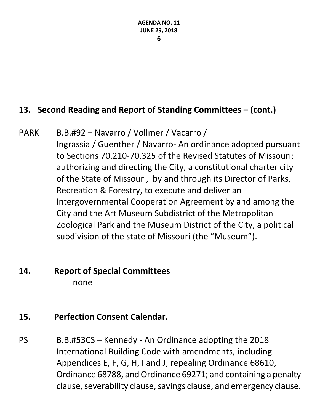## **13. Second Reading and Report of Standing Committees – (cont.)**

PARK B.B.#92 – Navarro / Vollmer / Vacarro / Ingrassia / Guenther / Navarro‐ An ordinance adopted pursuant to Sections 70.210‐70.325 of the Revised Statutes of Missouri; authorizing and directing the City, a constitutional charter city of the State of Missouri, by and through its Director of Parks, Recreation & Forestry, to execute and deliver an Intergovernmental Cooperation Agreement by and among the City and the Art Museum Subdistrict of the Metropolitan Zoological Park and the Museum District of the City, a political subdivision of the state of Missouri (the "Museum").

# **14. Report of Special Committees**  none

## **15. Perfection Consent Calendar.**

PS B.B.#53CS – Kennedy ‐ An Ordinance adopting the 2018 International Building Code with amendments, including Appendices E, F, G, H, I and J; repealing Ordinance 68610, Ordinance 68788, and Ordinance 69271; and containing a penalty clause, severability clause, savings clause, and emergency clause.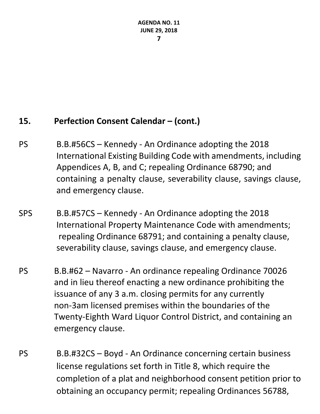## **15. Perfection Consent Calendar – (cont.)**

- PS B.B.#56CS Kennedy ‐ An Ordinance adopting the 2018 International Existing Building Code with amendments, including Appendices A, B, and C; repealing Ordinance 68790; and containing a penalty clause, severability clause, savings clause, and emergency clause.
- SPS B.B.#57CS Kennedy ‐ An Ordinance adopting the 2018 International Property Maintenance Code with amendments; repealing Ordinance 68791; and containing a penalty clause, severability clause, savings clause, and emergency clause.
- PS B.B.#62 Navarro ‐ An ordinance repealing Ordinance 70026 and in lieu thereof enacting a new ordinance prohibiting the issuance of any 3 a.m. closing permits for any currently non‐3am licensed premises within the boundaries of the Twenty‐Eighth Ward Liquor Control District, and containing an emergency clause.
- PS B.B.#32CS Boyd ‐ An Ordinance concerning certain business license regulations set forth in Title 8, which require the completion of a plat and neighborhood consent petition prior to obtaining an occupancy permit; repealing Ordinances 56788,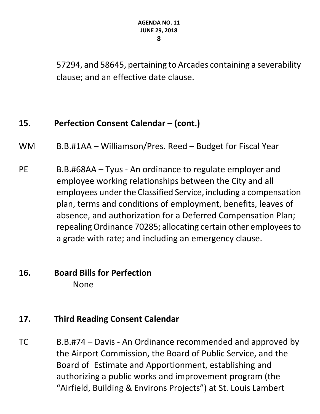57294, and 58645, pertaining to Arcades containing a severability clause; and an effective date clause.

## **15. Perfection Consent Calendar – (cont.)**

- WM B.B.#1AA Williamson/Pres. Reed Budget for Fiscal Year
- PE B.B.#68AA Tyus An ordinance to regulate employer and employee working relationships between the City and all employees under the Classified Service, including a compensation plan, terms and conditions of employment, benefits, leaves of absence, and authorization for a Deferred Compensation Plan; repealing Ordinance 70285; allocating certain other employees to a grade with rate; and including an emergency clause.

## **16. Board Bills for Perfection**  None

## **17. Third Reading Consent Calendar**

TC B.B.#74 – Davis ‐ An Ordinance recommended and approved by the Airport Commission, the Board of Public Service, and the Board of Estimate and Apportionment, establishing and authorizing a public works and improvement program (the "Airfield, Building & Environs Projects") at St. Louis Lambert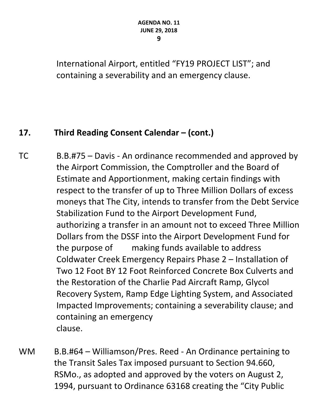International Airport, entitled "FY19 PROJECT LIST"; and containing a severability and an emergency clause.

## **17. Third Reading Consent Calendar – (cont.)**

- TC B.B.#75 Davis ‐ An ordinance recommended and approved by the Airport Commission, the Comptroller and the Board of Estimate and Apportionment, making certain findings with respect to the transfer of up to Three Million Dollars of excess moneys that The City, intends to transfer from the Debt Service Stabilization Fund to the Airport Development Fund, authorizing a transfer in an amount not to exceed Three Million Dollars from the DSSF into the Airport Development Fund for the purpose of making funds available to address Coldwater Creek Emergency Repairs Phase 2 – Installation of Two 12 Foot BY 12 Foot Reinforced Concrete Box Culverts and the Restoration of the Charlie Pad Aircraft Ramp, Glycol Recovery System, Ramp Edge Lighting System, and Associated Impacted Improvements; containing a severability clause; and containing an emergency clause.
- WM B.B.#64 Williamson/Pres. Reed An Ordinance pertaining to the Transit Sales Tax imposed pursuant to Section 94.660, RSMo., as adopted and approved by the voters on August 2, 1994, pursuant to Ordinance 63168 creating the "City Public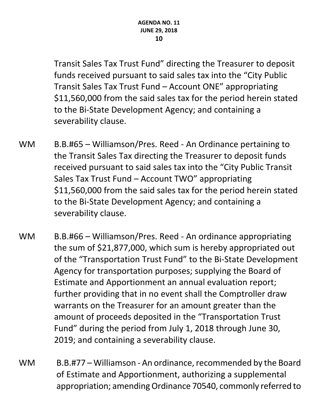Transit Sales Tax Trust Fund" directing the Treasurer to deposit funds received pursuant to said sales tax into the "City Public Transit Sales Tax Trust Fund – Account ONE" appropriating \$11,560,000 from the said sales tax for the period herein stated to the Bi‐State Development Agency; and containing a severability clause.

- WM B.B.#65 Williamson/Pres. Reed An Ordinance pertaining to the Transit Sales Tax directing the Treasurer to deposit funds received pursuant to said sales tax into the "City Public Transit Sales Tax Trust Fund – Account TWO" appropriating \$11,560,000 from the said sales tax for the period herein stated to the Bi‐State Development Agency; and containing a severability clause.
- WM B.B.#66 Williamson/Pres. Reed An ordinance appropriating the sum of \$21,877,000, which sum is hereby appropriated out of the "Transportation Trust Fund" to the Bi‐State Development Agency for transportation purposes; supplying the Board of Estimate and Apportionment an annual evaluation report; further providing that in no event shall the Comptroller draw warrants on the Treasurer for an amount greater than the amount of proceeds deposited in the "Transportation Trust Fund" during the period from July 1, 2018 through June 30, 2019; and containing a severability clause.
- WM B.B.#77 Williamson An ordinance, recommended by the Board of Estimate and Apportionment, authorizing a supplemental appropriation; amending Ordinance 70540, commonly referred to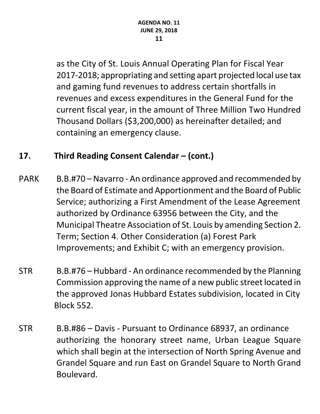as the City of St. Louis Annual Operating Plan for Fiscal Year 2017‐2018; appropriating and setting apart projected local use tax and gaming fund revenues to address certain shortfalls in revenues and excess expenditures in the General Fund for the current fiscal year, in the amount of Three Million Two Hundred Thousand Dollars (\$3,200,000) as hereinafter detailed; and containing an emergency clause.

## **17. Third Reading Consent Calendar – (cont.)**

- PARK B.B.#70 Navarro An ordinance approved and recommended by the Board of Estimate and Apportionment and the Board of Public Service; authorizing a First Amendment of the Lease Agreement authorized by Ordinance 63956 between the City, and the Municipal Theatre Association of St. Louis by amending Section 2. Term; Section 4. Other Consideration (a) Forest Park Improvements; and Exhibit C; with an emergency provision.
- STR B.B.#76 Hubbard ‐ An ordinance recommended by the Planning Commission approving the name of a new public street located in the approved Jonas Hubbard Estates subdivision, located in City Block 552.
- STR B.B.#86 Davis ‐ Pursuant to Ordinance 68937, an ordinance authorizing the honorary street name, Urban League Square which shall begin at the intersection of North Spring Avenue and Grandel Square and run East on Grandel Square to North Grand Boulevard.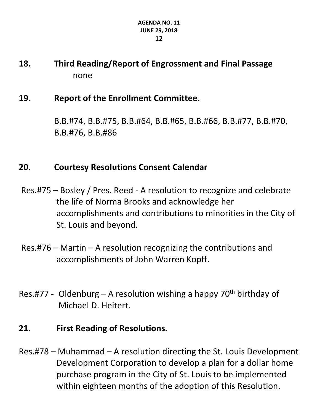## **18. Third Reading/Report of Engrossment and Final Passage**  none

#### **19. Report of the Enrollment Committee.**

B.B.#74, B.B.#75, B.B.#64, B.B.#65, B.B.#66, B.B.#77, B.B.#70, B.B.#76, B.B.#86

## **20. Courtesy Resolutions Consent Calendar**

- Res.#75 Bosley / Pres. Reed ‐ A resolution to recognize and celebrate the life of Norma Brooks and acknowledge her accomplishments and contributions to minorities in the City of St. Louis and beyond.
- Res.#76 Martin A resolution recognizing the contributions and accomplishments of John Warren Kopff.
- Res.#77 Oldenburg A resolution wishing a happy  $70<sup>th</sup>$  birthday of Michael D. Heitert.

## **21. First Reading of Resolutions.**

Res.#78 – Muhammad – A resolution directing the St. Louis Development Development Corporation to develop a plan for a dollar home purchase program in the City of St. Louis to be implemented within eighteen months of the adoption of this Resolution.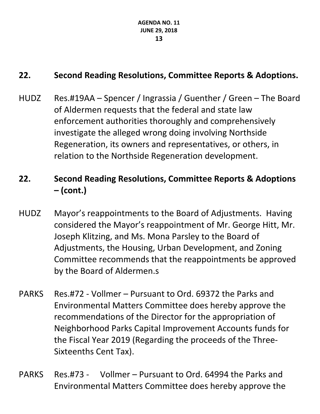## **22. Second Reading Resolutions, Committee Reports & Adoptions.**

HUDZ Res.#19AA – Spencer / Ingrassia / Guenther / Green – The Board of Aldermen requests that the federal and state law enforcement authorities thoroughly and comprehensively investigate the alleged wrong doing involving Northside Regeneration, its owners and representatives, or others, in relation to the Northside Regeneration development.

## **22. Second Reading Resolutions, Committee Reports & Adoptions – (cont.)**

- HUDZ Mayor's reappointments to the Board of Adjustments. Having considered the Mayor's reappointment of Mr. George Hitt, Mr. Joseph Klitzing, and Ms. Mona Parsley to the Board of Adjustments, the Housing, Urban Development, and Zoning Committee recommends that the reappointments be approved by the Board of Aldermen.s
- PARKS Res.#72 Vollmer Pursuant to Ord. 69372 the Parks and Environmental Matters Committee does hereby approve the recommendations of the Director for the appropriation of Neighborhood Parks Capital Improvement Accounts funds for the Fiscal Year 2019 (Regarding the proceeds of the Three‐ Sixteenths Cent Tax).
- PARKS Res.#73 ‐ Vollmer Pursuant to Ord. 64994 the Parks and Environmental Matters Committee does hereby approve the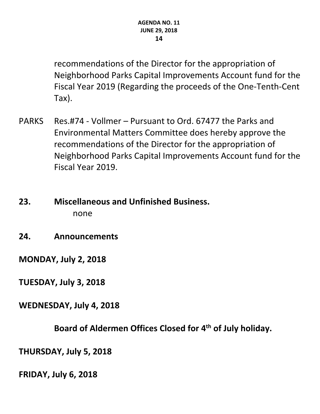recommendations of the Director for the appropriation of Neighborhood Parks Capital Improvements Account fund for the Fiscal Year 2019 (Regarding the proceeds of the One‐Tenth‐Cent Tax).

- PARKS Res.#74 ‐ Vollmer Pursuant to Ord. 67477 the Parks and Environmental Matters Committee does hereby approve the recommendations of the Director for the appropriation of Neighborhood Parks Capital Improvements Account fund for the Fiscal Year 2019.
- **23. Miscellaneous and Unfinished Business.**  none
- **24. Announcements**

**MONDAY, July 2, 2018** 

**TUESDAY, July 3, 2018**

**WEDNESDAY, July 4, 2018**

**Board of Aldermen Offices Closed for 4th of July holiday.** 

**THURSDAY, July 5, 2018**

**FRIDAY, July 6, 2018**